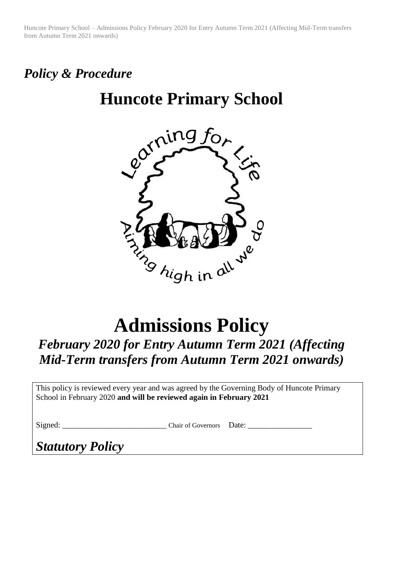Huncote Primary School – Admissions Policy February 2020 for Entry Autumn Term 2021 (Affecting Mid-Term transfers from Autumn Term 2021 onwards)

## *Policy & Procedure*

## **Huncote Primary School**



# **Admissions Policy**

### *February 2020 for Entry Autumn Term 2021 (Affecting Mid-Term transfers from Autumn Term 2021 onwards)*

This policy is reviewed every year and was agreed by the Governing Body of Huncote Primary School in February 2020 **and will be reviewed again in February 2021**

Signed: \_\_\_\_\_\_\_\_\_\_\_\_\_\_\_\_\_\_\_\_\_\_\_\_\_\_ Chair of Governors Date: \_\_\_\_\_\_\_\_\_\_\_\_\_\_\_\_

*Statutory Policy*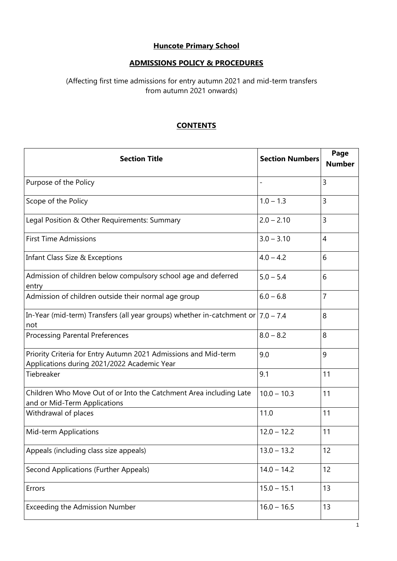#### **Huncote Primary School**

#### **ADMISSIONS POLICY & PROCEDURES**

#### (Affecting first time admissions for entry autumn 2021 and mid-term transfers from autumn 2021 onwards)

#### **CONTENTS**

| <b>Section Title</b>                                                                                           | <b>Section Numbers</b> | Page<br><b>Number</b> |
|----------------------------------------------------------------------------------------------------------------|------------------------|-----------------------|
| Purpose of the Policy                                                                                          |                        | 3                     |
| Scope of the Policy                                                                                            | $1.0 - 1.3$            | 3                     |
| Legal Position & Other Requirements: Summary                                                                   | $2.0 - 2.10$           | 3                     |
| <b>First Time Admissions</b>                                                                                   | $3.0 - 3.10$           | $\overline{4}$        |
| Infant Class Size & Exceptions                                                                                 | $4.0 - 4.2$            | 6                     |
| Admission of children below compulsory school age and deferred<br>entry                                        | $5.0 - 5.4$            | 6                     |
| Admission of children outside their normal age group                                                           | $6.0 - 6.8$            | 7                     |
| In-Year (mid-term) Transfers (all year groups) whether in-catchment or $ 7.0 - 7.4$<br>not                     |                        | 8                     |
| <b>Processing Parental Preferences</b>                                                                         | $8.0 - 8.2$            | 8                     |
| Priority Criteria for Entry Autumn 2021 Admissions and Mid-term<br>Applications during 2021/2022 Academic Year | 9.0                    | 9                     |
| Tiebreaker                                                                                                     | 9.1                    | 11                    |
| Children Who Move Out of or Into the Catchment Area including Late<br>and or Mid-Term Applications             | $10.0 - 10.3$          | 11                    |
| Withdrawal of places                                                                                           | 11.0                   | 11                    |
| Mid-term Applications                                                                                          | $12.0 - 12.2$          | 11                    |
| Appeals (including class size appeals)                                                                         | $13.0 - 13.2$          | 12                    |
| Second Applications (Further Appeals)                                                                          | $14.0 - 14.2$          | 12                    |
| Errors                                                                                                         | $15.0 - 15.1$          | 13                    |
| <b>Exceeding the Admission Number</b>                                                                          | $16.0 - 16.5$          | 13                    |

 $\overline{1}$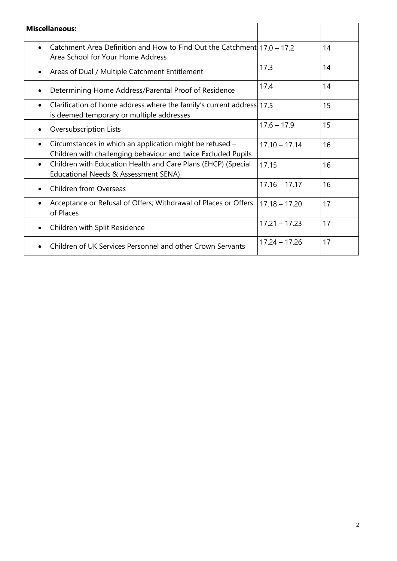| <b>Miscellaneous:</b>                                                                                                           |                 |    |
|---------------------------------------------------------------------------------------------------------------------------------|-----------------|----|
| Catchment Area Definition and How to Find Out the Catchment   17.0 - 17.2<br>$\bullet$<br>Area School for Your Home Address     |                 | 14 |
| Areas of Dual / Multiple Catchment Entitlement<br>$\bullet$                                                                     | 17.3            | 14 |
| Determining Home Address/Parental Proof of Residence                                                                            | 17.4            | 14 |
| Clarification of home address where the family's current address 17.5<br>$\bullet$<br>is deemed temporary or multiple addresses |                 | 15 |
| Oversubscription Lists<br>$\bullet$                                                                                             | $17.6 - 17.9$   | 15 |
| Circumstances in which an application might be refused -<br>Children with challenging behaviour and twice Excluded Pupils       | $17.10 - 17.14$ | 16 |
| Children with Education Health and Care Plans (EHCP) (Special<br>$\bullet$<br>Educational Needs & Assessment SENA)              | 17.15           | 16 |
| <b>Children from Overseas</b><br>$\bullet$                                                                                      | $17.16 - 17.17$ | 16 |
| Acceptance or Refusal of Offers; Withdrawal of Places or Offers<br>$\bullet$<br>of Places                                       | $17.18 - 17.20$ | 17 |
| Children with Split Residence<br>$\bullet$                                                                                      | $17.21 - 17.23$ | 17 |
| Children of UK Services Personnel and other Crown Servants                                                                      | $17.24 - 17.26$ | 17 |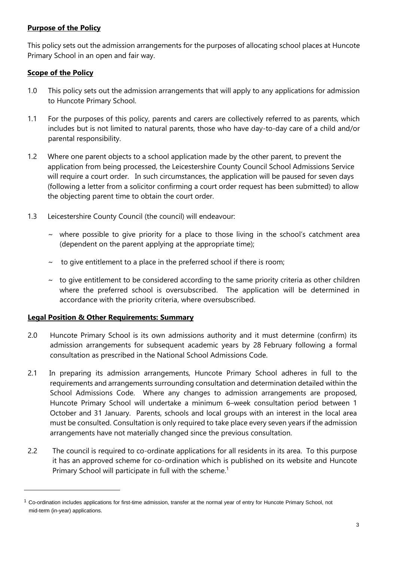#### **Purpose of the Policy**

This policy sets out the admission arrangements for the purposes of allocating school places at Huncote Primary School in an open and fair way.

#### **Scope of the Policy**

1

- 1.0 This policy sets out the admission arrangements that will apply to any applications for admission to Huncote Primary School.
- 1.1 For the purposes of this policy, parents and carers are collectively referred to as parents, which includes but is not limited to natural parents, those who have day-to-day care of a child and/or parental responsibility.
- 1.2 Where one parent objects to a school application made by the other parent, to prevent the application from being processed, the Leicestershire County Council School Admissions Service will require a court order. In such circumstances, the application will be paused for seven days (following a letter from a solicitor confirming a court order request has been submitted) to allow the objecting parent time to obtain the court order.
- 1.3 Leicestershire County Council (the council) will endeavour:
	- $\sim$  where possible to give priority for a place to those living in the school's catchment area (dependent on the parent applying at the appropriate time);
	- $\sim$  to give entitlement to a place in the preferred school if there is room;
	- $\sim$  to give entitlement to be considered according to the same priority criteria as other children where the preferred school is oversubscribed. The application will be determined in accordance with the priority criteria, where oversubscribed.

#### **Legal Position & Other Requirements: Summary**

- 2.0 Huncote Primary School is its own admissions authority and it must determine (confirm) its admission arrangements for subsequent academic years by 28 February following a formal consultation as prescribed in the National School Admissions Code.
- 2.1 In preparing its admission arrangements, Huncote Primary School adheres in full to the requirements and arrangements surrounding consultation and determination detailed within the School Admissions Code. Where any changes to admission arrangements are proposed, Huncote Primary School will undertake a minimum 6–week consultation period between 1 October and 31 January. Parents, schools and local groups with an interest in the local area must be consulted. Consultation is only required to take place every seven years if the admission arrangements have not materially changed since the previous consultation.
- 2.2 The council is required to co-ordinate applications for all residents in its area. To this purpose it has an approved scheme for co-ordination which is published on its website and Huncote Primary School will participate in full with the scheme.<sup>1</sup>

 $1$  Co-ordination includes applications for first-time admission, transfer at the normal year of entry for Huncote Primary School, not mid-term (in-year) applications.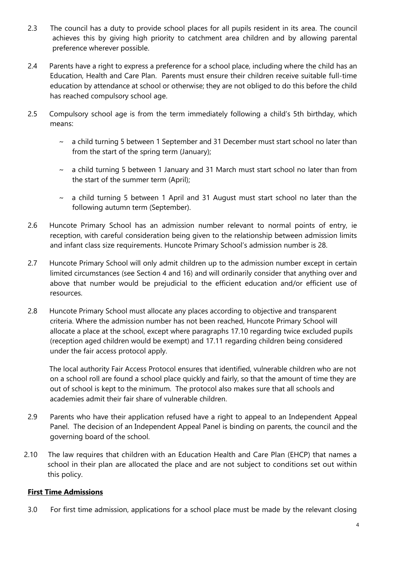- 2.3 The council has a duty to provide school places for all pupils resident in its area. The council achieves this by giving high priority to catchment area children and by allowing parental preference wherever possible.
- 2.4 Parents have a right to express a preference for a school place, including where the child has an Education, Health and Care Plan. Parents must ensure their children receive suitable full-time education by attendance at school or otherwise; they are not obliged to do this before the child has reached compulsory school age.
- 2.5 Compulsory school age is from the term immediately following a child's 5th birthday, which means:
	- $\sim$  a child turning 5 between 1 September and 31 December must start school no later than from the start of the spring term (January);
	- $\sim$  a child turning 5 between 1 January and 31 March must start school no later than from the start of the summer term (April);
	- $\sim$  a child turning 5 between 1 April and 31 August must start school no later than the following autumn term (September).
- 2.6 Huncote Primary School has an admission number relevant to normal points of entry, ie reception, with careful consideration being given to the relationship between admission limits and infant class size requirements. Huncote Primary School's admission number is 28.
- 2.7 Huncote Primary School will only admit children up to the admission number except in certain limited circumstances (see Section 4 and 16) and will ordinarily consider that anything over and above that number would be prejudicial to the efficient education and/or efficient use of resources.
- 2.8 Huncote Primary School must allocate any places according to objective and transparent criteria. Where the admission number has not been reached, Huncote Primary School will allocate a place at the school, except where paragraphs 17.10 regarding twice excluded pupils (reception aged children would be exempt) and 17.11 regarding children being considered under the fair access protocol apply.

The local authority Fair Access Protocol ensures that identified, vulnerable children who are not on a school roll are found a school place quickly and fairly, so that the amount of time they are out of school is kept to the minimum. The protocol also makes sure that all schools and academies admit their fair share of vulnerable children.

- 2.9 Parents who have their application refused have a right to appeal to an Independent Appeal Panel. The decision of an Independent Appeal Panel is binding on parents, the council and the governing board of the school.
- 2.10 The law requires that children with an Education Health and Care Plan (EHCP) that names a school in their plan are allocated the place and are not subject to conditions set out within this policy.

#### **First Time Admissions**

3.0 For first time admission, applications for a school place must be made by the relevant closing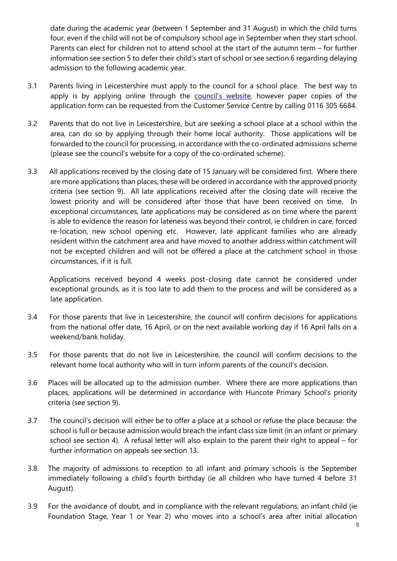date during the academic year (between 1 September and 31 August) in which the child turns four, even if the child will not be of compulsory school age in September when they start school. Parents can elect for children not to attend school at the start of the autumn term – for further information see section 5 to defer their child's start of school or see section 6 regarding delaying admission to the following academic year.

- 3.1 Parents living in Leicestershire must apply to the council for a school place. The best way to apply is by applying online through the **council['s website](https://www.leicestershire.gov.uk/education-and-children/schools-colleges-and-academies/school-admissions)**, however paper copies of the application form can be requested from the Customer Service Centre by calling 0116 305 6684.
- 3.2 Parents that do not live in Leicestershire, but are seeking a school place at a school within the area, can do so by applying through their home local authority. Those applications will be forwarded to the council for processing, in accordance with the co-ordinated admissions scheme (please see the council's website for a copy of the co-ordinated scheme).
- 3.3 All applications received by the closing date of 15 January will be considered first. Where there are more applications than places, these will be ordered in accordance with the approved priority criteria (see section 9). All late applications received after the closing date will receive the lowest priority and will be considered after those that have been received on time. In exceptional circumstances, late applications may be considered as on time where the parent is able to evidence the reason for lateness was beyond their control, ie children in care, forced re-location, new school opening etc. However, late applicant families who are already resident within the catchment area and have moved to another address within catchment will not be excepted children and will not be offered a place at the catchment school in those circumstances, if it is full.

Applications received beyond 4 weeks post-closing date cannot be considered under exceptional grounds, as it is too late to add them to the process and will be considered as a late application.

- 3.4 For those parents that live in Leicestershire, the council will confirm decisions for applications from the national offer date, 16 April, or on the next available working day if 16 April falls on a weekend/bank holiday.
- 3.5 For those parents that do not live in Leicestershire, the council will confirm decisions to the relevant home local authority who will in turn inform parents of the council's decision.
- 3.6 Places will be allocated up to the admission number. Where there are more applications than places, applications will be determined in accordance with Huncote Primary School's priority criteria (see section 9).
- 3.7 The council's decision will either be to offer a place at a school or refuse the place because: the school is full or because admission would breach the infant class size limit (in an infant or primary school see section 4). A refusal letter will also explain to the parent their right to appeal – for further information on appeals see section 13.
- 3.8 The majority of admissions to reception to all infant and primary schools is the September immediately following a child's fourth birthday (ie all children who have turned 4 before 31 August).
- 3.9 For the avoidance of doubt, and in compliance with the relevant regulations, an infant child (ie Foundation Stage, Year 1 or Year 2) who moves into a school's area after initial allocation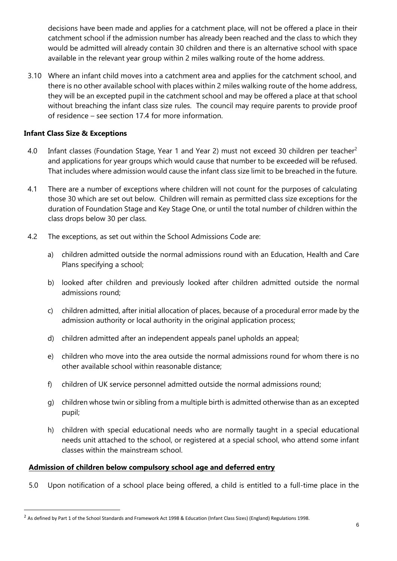decisions have been made and applies for a catchment place, will not be offered a place in their catchment school if the admission number has already been reached and the class to which they would be admitted will already contain 30 children and there is an alternative school with space available in the relevant year group within 2 miles walking route of the home address.

3.10 Where an infant child moves into a catchment area and applies for the catchment school, and there is no other available school with places within 2 miles walking route of the home address, they will be an excepted pupil in the catchment school and may be offered a place at that school without breaching the infant class size rules. The council may require parents to provide proof of residence – see section 17.4 for more information.

#### **Infant Class Size & Exceptions**

**.** 

- 4.0 Infant classes (Foundation Stage, Year 1 and Year 2) must not exceed 30 children per teacher<sup>2</sup> and applications for year groups which would cause that number to be exceeded will be refused. That includes where admission would cause the infant class size limit to be breached in the future.
- 4.1 There are a number of exceptions where children will not count for the purposes of calculating those 30 which are set out below. Children will remain as permitted class size exceptions for the duration of Foundation Stage and Key Stage One, or until the total number of children within the class drops below 30 per class.
- 4.2 The exceptions, as set out within the School Admissions Code are:
	- a) children admitted outside the normal admissions round with an Education, Health and Care Plans specifying a school;
	- b) looked after children and previously looked after children admitted outside the normal admissions round;
	- c) children admitted, after initial allocation of places, because of a procedural error made by the admission authority or local authority in the original application process;
	- d) children admitted after an independent appeals panel upholds an appeal;
	- e) children who move into the area outside the normal admissions round for whom there is no other available school within reasonable distance;
	- f) children of UK service personnel admitted outside the normal admissions round;
	- g) children whose twin or sibling from a multiple birth is admitted otherwise than as an excepted pupil;
	- h) children with special educational needs who are normally taught in a special educational needs unit attached to the school, or registered at a special school, who attend some infant classes within the mainstream school.

#### **Admission of children below compulsory school age and deferred entry**

5.0 Upon notification of a school place being offered, a child is entitled to a full-time place in the

<sup>&</sup>lt;sup>2</sup> As defined by Part 1 of the School Standards and Framework Act 1998 & Education (Infant Class Sizes) (England) Regulations 1998.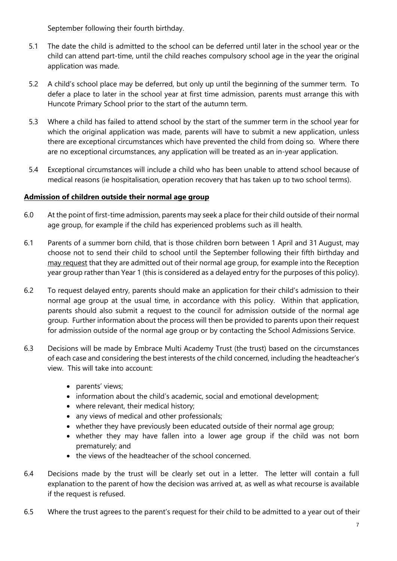September following their fourth birthday.

- 5.1 The date the child is admitted to the school can be deferred until later in the school year or the child can attend part-time, until the child reaches compulsory school age in the year the original application was made.
- 5.2 A child's school place may be deferred, but only up until the beginning of the summer term. To defer a place to later in the school year at first time admission, parents must arrange this with Huncote Primary School prior to the start of the autumn term.
- 5.3 Where a child has failed to attend school by the start of the summer term in the school year for which the original application was made, parents will have to submit a new application, unless there are exceptional circumstances which have prevented the child from doing so. Where there are no exceptional circumstances, any application will be treated as an in-year application.
- 5.4 Exceptional circumstances will include a child who has been unable to attend school because of medical reasons (ie hospitalisation, operation recovery that has taken up to two school terms).

#### **Admission of children outside their normal age group**

- 6.0 At the point of first-time admission, parents may seek a place for their child outside of their normal age group, for example if the child has experienced problems such as ill health.
- 6.1 Parents of a summer born child, that is those children born between 1 April and 31 August, may choose not to send their child to school until the September following their fifth birthday and may request that they are admitted out of their normal age group, for example into the Reception year group rather than Year 1 (this is considered as a delayed entry for the purposes of this policy).
- 6.2 To request delayed entry, parents should make an application for their child's admission to their normal age group at the usual time, in accordance with this policy. Within that application, parents should also submit a request to the council for admission outside of the normal age group. Further information about the process will then be provided to parents upon their request for admission outside of the normal age group or by contacting the School Admissions Service.
- 6.3 Decisions will be made by Embrace Multi Academy Trust (the trust) based on the circumstances of each case and considering the best interests of the child concerned, including the headteacher's view. This will take into account:
	- parents' views;
	- information about the child's academic, social and emotional development;
	- where relevant, their medical history;
	- any views of medical and other professionals;
	- whether they have previously been educated outside of their normal age group;
	- whether they may have fallen into a lower age group if the child was not born prematurely; and
	- the views of the headteacher of the school concerned.
- 6.4 Decisions made by the trust will be clearly set out in a letter. The letter will contain a full explanation to the parent of how the decision was arrived at, as well as what recourse is available if the request is refused.
- 6.5 Where the trust agrees to the parent's request for their child to be admitted to a year out of their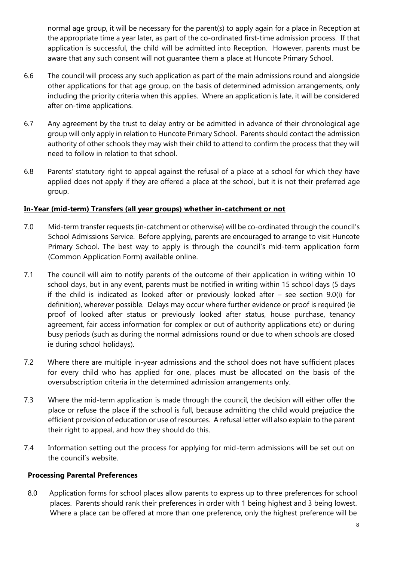normal age group, it will be necessary for the parent(s) to apply again for a place in Reception at the appropriate time a year later, as part of the co-ordinated first-time admission process. If that application is successful, the child will be admitted into Reception. However, parents must be aware that any such consent will not guarantee them a place at Huncote Primary School.

- 6.6 The council will process any such application as part of the main admissions round and alongside other applications for that age group, on the basis of determined admission arrangements, only including the priority criteria when this applies. Where an application is late, it will be considered after on-time applications.
- 6.7 Any agreement by the trust to delay entry or be admitted in advance of their chronological age group will only apply in relation to Huncote Primary School. Parents should contact the admission authority of other schools they may wish their child to attend to confirm the process that they will need to follow in relation to that school.
- 6.8 Parents' statutory right to appeal against the refusal of a place at a school for which they have applied does not apply if they are offered a place at the school, but it is not their preferred age group.

#### **In-Year (mid-term) Transfers (all year groups) whether in-catchment or not**

- 7.0 Mid-term transfer requests (in-catchment or otherwise) will be co-ordinated through the council's School Admissions Service. Before applying, parents are encouraged to arrange to visit Huncote Primary School. The best way to apply is through the council's mid-term application form (Common Application Form) available online.
- 7.1 The council will aim to notify parents of the outcome of their application in writing within 10 school days, but in any event, parents must be notified in writing within 15 school days (5 days if the child is indicated as looked after or previously looked after – see section 9.0(i) for definition), wherever possible. Delays may occur where further evidence or proof is required (ie proof of looked after status or previously looked after status, house purchase, tenancy agreement, fair access information for complex or out of authority applications etc) or during busy periods (such as during the normal admissions round or due to when schools are closed ie during school holidays).
- 7.2 Where there are multiple in-year admissions and the school does not have sufficient places for every child who has applied for one, places must be allocated on the basis of the oversubscription criteria in the determined admission arrangements only.
- 7.3 Where the mid-term application is made through the council, the decision will either offer the place or refuse the place if the school is full, because admitting the child would prejudice the efficient provision of education or use of resources. A refusal letter will also explain to the parent their right to appeal, and how they should do this.
- 7.4 Information setting out the process for applying for mid-term admissions will be set out on the council's website.

#### **Processing Parental Preferences**

8.0 Application forms for school places allow parents to express up to three preferences for school places. Parents should rank their preferences in order with 1 being highest and 3 being lowest. Where a place can be offered at more than one preference, only the highest preference will be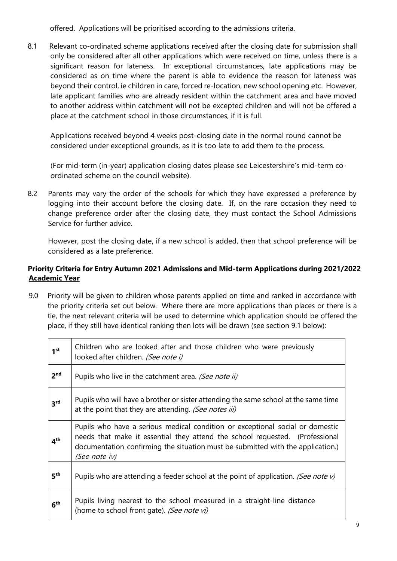offered. Applications will be prioritised according to the admissions criteria.

8.1 Relevant co-ordinated scheme applications received after the closing date for submission shall only be considered after all other applications which were received on time, unless there is a significant reason for lateness. In exceptional circumstances, late applications may be considered as on time where the parent is able to evidence the reason for lateness was beyond their control, ie children in care, forced re-location, new school opening etc. However, late applicant families who are already resident within the catchment area and have moved to another address within catchment will not be excepted children and will not be offered a place at the catchment school in those circumstances, if it is full.

Applications received beyond 4 weeks post-closing date in the normal round cannot be considered under exceptional grounds, as it is too late to add them to the process.

(For mid-term (in-year) application closing dates please see Leicestershire's mid-term coordinated scheme on the council website).

8.2 Parents may vary the order of the schools for which they have expressed a preference by logging into their account before the closing date. If, on the rare occasion they need to change preference order after the closing date, they must contact the School Admissions Service for further advice.

However, post the closing date, if a new school is added, then that school preference will be considered as a late preference.

#### **Priority Criteria for Entry Autumn 2021 Admissions and Mid-term Applications during 2021/2022 Academic Year**

9.0 Priority will be given to children whose parents applied on time and ranked in accordance with the priority criteria set out below. Where there are more applications than places or there is a tie, the next relevant criteria will be used to determine which application should be offered the place, if they still have identical ranking then lots will be drawn (see section 9.1 below):

| 1 <sup>st</sup> | Children who are looked after and those children who were previously<br>looked after children. (See note i)                                                                                                                                                       |
|-----------------|-------------------------------------------------------------------------------------------------------------------------------------------------------------------------------------------------------------------------------------------------------------------|
| 2 <sup>nd</sup> | Pupils who live in the catchment area. (See note ii)                                                                                                                                                                                                              |
| 3 <sup>rd</sup> | Pupils who will have a brother or sister attending the same school at the same time<br>at the point that they are attending. (See notes iii)                                                                                                                      |
| 4 <sup>th</sup> | Pupils who have a serious medical condition or exceptional social or domestic<br>needs that make it essential they attend the school requested. (Professional<br>documentation confirming the situation must be submitted with the application.)<br>(See note iv) |
| 5 <sup>th</sup> | Pupils who are attending a feeder school at the point of application. (See note $v$ )                                                                                                                                                                             |
| 6 <sup>th</sup> | Pupils living nearest to the school measured in a straight-line distance<br>(home to school front gate). (See note vi)                                                                                                                                            |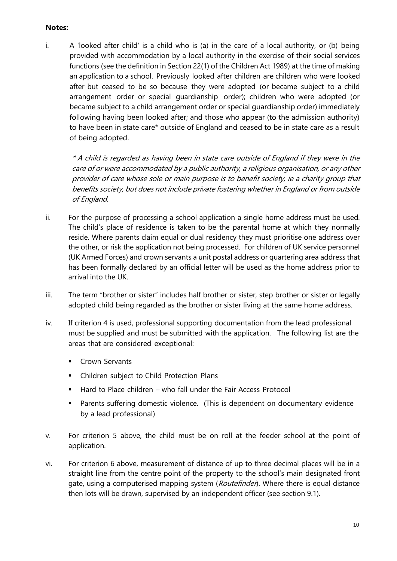#### **Notes:**

i. A 'looked after child' is a child who is (a) in the care of a local authority, or (b) being provided with accommodation by a local authority in the exercise of their social services functions (see the definition in Section 22(1) of the Children Act 1989) at the time of making an application to a school. Previously looked after children are children who were looked after but ceased to be so because they were adopted (or became subject to a child arrangement order or special guardianship order); children who were adopted (or became subject to a child arrangement order or special guardianship order) immediately following having been looked after; and those who appear (to the admission authority) to have been in state care\* outside of England and ceased to be in state care as a result of being adopted.

\* A child is regarded as having been in state care outside of England if they were in the care of or were accommodated by a public authority, a religious organisation, or any other provider of care whose sole or main purpose is to benefit society, ie a charity group that benefits society, but does not include private fostering whether in England or from outside of England.

- ii. For the purpose of processing a school application a single home address must be used. The child's place of residence is taken to be the parental home at which they normally reside. Where parents claim equal or dual residency they must prioritise one address over the other, or risk the application not being processed. For children of UK service personnel (UK Armed Forces) and crown servants a unit postal address or quartering area address that has been formally declared by an official letter will be used as the home address prior to arrival into the UK.
- iii. The term "brother or sister" includes half brother or sister, step brother or sister or legally adopted child being regarded as the brother or sister living at the same home address.
- iv. If criterion 4 is used, professional supporting documentation from the lead professional must be supplied and must be submitted with the application. The following list are the areas that are considered exceptional:
	- **■** Crown Servants
	- Children subject to Child Protection Plans
	- Hard to Place children who fall under the Fair Access Protocol
	- **EXECT** Parents suffering domestic violence. (This is dependent on documentary evidence by a lead professional)
- v. For criterion 5 above, the child must be on roll at the feeder school at the point of application.
- vi. For criterion 6 above, measurement of distance of up to three decimal places will be in a straight line from the centre point of the property to the school's main designated front gate, using a computerised mapping system (Routefinder). Where there is equal distance then lots will be drawn, supervised by an independent officer (see section 9.1).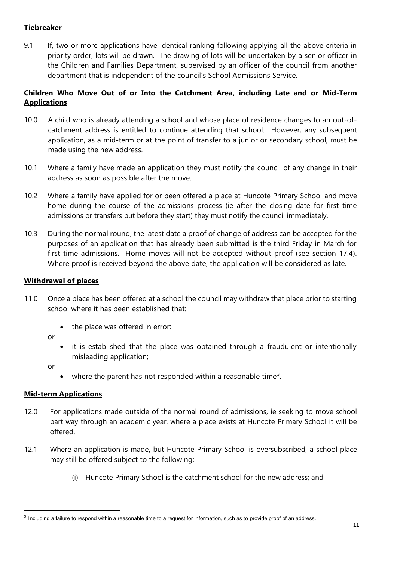#### **Tiebreaker**

9.1 If, two or more applications have identical ranking following applying all the above criteria in priority order, lots will be drawn. The drawing of lots will be undertaken by a senior officer in the Children and Families Department, supervised by an officer of the council from another department that is independent of the council's School Admissions Service.

#### **Children Who Move Out of or Into the Catchment Area, including Late and or Mid-Term Applications**

- 10.0 A child who is already attending a school and whose place of residence changes to an out-ofcatchment address is entitled to continue attending that school. However, any subsequent application, as a mid-term or at the point of transfer to a junior or secondary school, must be made using the new address.
- 10.1 Where a family have made an application they must notify the council of any change in their address as soon as possible after the move.
- 10.2 Where a family have applied for or been offered a place at Huncote Primary School and move home during the course of the admissions process (ie after the closing date for first time admissions or transfers but before they start) they must notify the council immediately.
- 10.3 During the normal round, the latest date a proof of change of address can be accepted for the purposes of an application that has already been submitted is the third Friday in March for first time admissions. Home moves will not be accepted without proof (see section 17.4). Where proof is received beyond the above date, the application will be considered as late.

#### **Withdrawal of places**

- 11.0 Once a place has been offered at a school the council may withdraw that place prior to starting school where it has been established that:
	- the place was offered in error;

or

• it is established that the place was obtained through a fraudulent or intentionally misleading application;

or

 $\overline{a}$ 

• where the parent has not responded within a reasonable time<sup>3</sup>.

#### **Mid-term Applications**

- 12.0 For applications made outside of the normal round of admissions, ie seeking to move school part way through an academic year, where a place exists at Huncote Primary School it will be offered.
- 12.1 Where an application is made, but Huncote Primary School is oversubscribed, a school place may still be offered subject to the following:
	- (i) Huncote Primary School is the catchment school for the new address; and

<sup>&</sup>lt;sup>3</sup> Including a failure to respond within a reasonable time to a request for information, such as to provide proof of an address.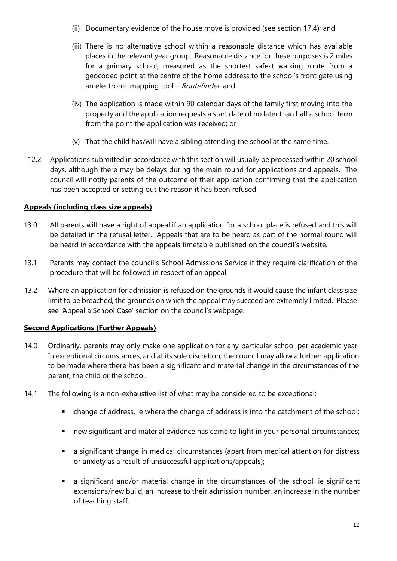- (ii) Documentary evidence of the house move is provided (see section 17.4); and
- (iii) There is no alternative school within a reasonable distance which has available places in the relevant year group. Reasonable distance for these purposes is 2 miles for a primary school, measured as the shortest safest walking route from a geocoded point at the centre of the home address to the school's front gate using an electronic mapping tool - Routefinder, and
- (iv) The application is made within 90 calendar days of the family first moving into the property and the application requests a start date of no later than half a school term from the point the application was received; or
- (v) That the child has/will have a sibling attending the school at the same time.
- 12.2 Applications submitted in accordance with this section will usually be processed within 20 school days, although there may be delays during the main round for applications and appeals. The council will notify parents of the outcome of their application confirming that the application has been accepted or setting out the reason it has been refused.

#### **Appeals (including class size appeals)**

- 13.0 All parents will have a right of appeal if an application for a school place is refused and this will be detailed in the refusal letter. Appeals that are to be heard as part of the normal round will be heard in accordance with the appeals timetable published on the council's website.
- 13.1 Parents may contact the council's School Admissions Service if they require clarification of the procedure that will be followed in respect of an appeal.
- 13.2 Where an application for admission is refused on the grounds it would cause the infant class size limit to be breached, the grounds on which the appeal may succeed are extremely limited. Please see 'Appeal a School Case' section on the council's webpage.

#### **Second Applications (Further Appeals)**

- 14.0 Ordinarily, parents may only make one application for any particular school per academic year. In exceptional circumstances, and at its sole discretion, the council may allow a further application to be made where there has been a significant and material change in the circumstances of the parent, the child or the school.
- 14.1 The following is a non-exhaustive list of what may be considered to be exceptional:
	- change of address, ie where the change of address is into the catchment of the school;
	- new significant and material evidence has come to light in your personal circumstances;
	- a significant change in medical circumstances (apart from medical attention for distress or anxiety as a result of unsuccessful applications/appeals);
	- a significant and/or material change in the circumstances of the school, ie significant extensions/new build, an increase to their admission number, an increase in the number of teaching staff.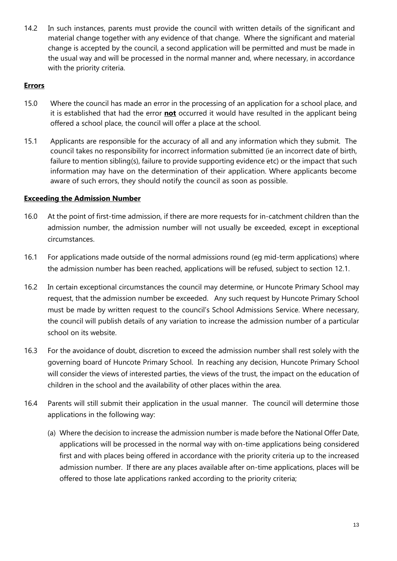14.2 In such instances, parents must provide the council with written details of the significant and material change together with any evidence of that change. Where the significant and material change is accepted by the council, a second application will be permitted and must be made in the usual way and will be processed in the normal manner and, where necessary, in accordance with the priority criteria.

#### **Errors**

- 15.0 Where the council has made an error in the processing of an application for a school place, and it is established that had the error **not** occurred it would have resulted in the applicant being offered a school place, the council will offer a place at the school.
- 15.1 Applicants are responsible for the accuracy of all and any information which they submit. The council takes no responsibility for incorrect information submitted (ie an incorrect date of birth, failure to mention sibling(s), failure to provide supporting evidence etc) or the impact that such information may have on the determination of their application. Where applicants become aware of such errors, they should notify the council as soon as possible.

#### **Exceeding the Admission Number**

- 16.0 At the point of first-time admission, if there are more requests for in-catchment children than the admission number, the admission number will not usually be exceeded, except in exceptional circumstances.
- 16.1 For applications made outside of the normal admissions round (eg mid-term applications) where the admission number has been reached, applications will be refused, subject to section 12.1.
- 16.2 In certain exceptional circumstances the council may determine, or Huncote Primary School may request, that the admission number be exceeded. Any such request by Huncote Primary School must be made by written request to the council's School Admissions Service. Where necessary, the council will publish details of any variation to increase the admission number of a particular school on its website.
- 16.3 For the avoidance of doubt, discretion to exceed the admission number shall rest solely with the governing board of Huncote Primary School. In reaching any decision, Huncote Primary School will consider the views of interested parties, the views of the trust, the impact on the education of children in the school and the availability of other places within the area.
- 16.4 Parents will still submit their application in the usual manner. The council will determine those applications in the following way:
	- (a) Where the decision to increase the admission number is made before the National Offer Date, applications will be processed in the normal way with on-time applications being considered first and with places being offered in accordance with the priority criteria up to the increased admission number. If there are any places available after on-time applications, places will be offered to those late applications ranked according to the priority criteria;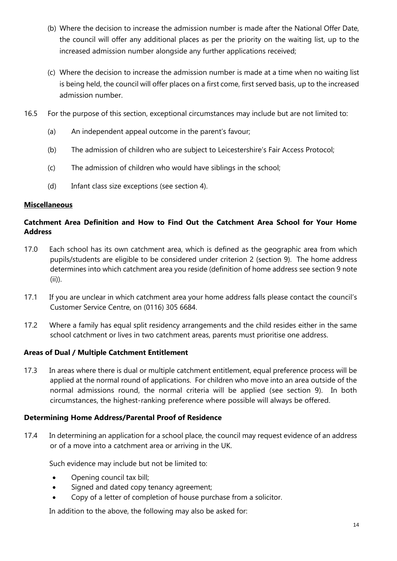- (b) Where the decision to increase the admission number is made after the National Offer Date, the council will offer any additional places as per the priority on the waiting list, up to the increased admission number alongside any further applications received;
- (c) Where the decision to increase the admission number is made at a time when no waiting list is being held, the council will offer places on a first come, first served basis, up to the increased admission number.
- 16.5 For the purpose of this section, exceptional circumstances may include but are not limited to:
	- (a) An independent appeal outcome in the parent's favour;
	- (b) The admission of children who are subject to Leicestershire's Fair Access Protocol;
	- (c) The admission of children who would have siblings in the school;
	- (d) Infant class size exceptions (see section 4).

#### **Miscellaneous**

#### **Catchment Area Definition and How to Find Out the Catchment Area School for Your Home Address**

- 17.0 Each school has its own catchment area, which is defined as the geographic area from which pupils/students are eligible to be considered under criterion 2 (section 9). The home address determines into which catchment area you reside (definition of home address see section 9 note (ii)).
- 17.1 If you are unclear in which catchment area your home address falls please contact the council's Customer Service Centre, on (0116) 305 6684.
- 17.2 Where a family has equal split residency arrangements and the child resides either in the same school catchment or lives in two catchment areas, parents must prioritise one address.

#### **Areas of Dual / Multiple Catchment Entitlement**

17.3 In areas where there is dual or multiple catchment entitlement, equal preference process will be applied at the normal round of applications. For children who move into an area outside of the normal admissions round, the normal criteria will be applied (see section 9). In both circumstances, the highest-ranking preference where possible will always be offered.

#### **Determining Home Address/Parental Proof of Residence**

17.4 In determining an application for a school place, the council may request evidence of an address or of a move into a catchment area or arriving in the UK.

Such evidence may include but not be limited to:

- Opening council tax bill;
- Signed and dated copy tenancy agreement;
- Copy of a letter of completion of house purchase from a solicitor.

In addition to the above, the following may also be asked for: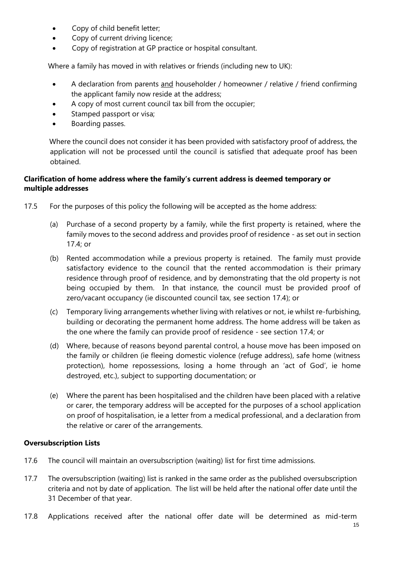- Copy of child benefit letter;
- Copy of current driving licence;
- Copy of registration at GP practice or hospital consultant.

Where a family has moved in with relatives or friends (including new to UK):

- A declaration from parents and householder / homeowner / relative / friend confirming the applicant family now reside at the address;
- A copy of most current council tax bill from the occupier;
- Stamped passport or visa;
- Boarding passes.

Where the council does not consider it has been provided with satisfactory proof of address, the application will not be processed until the council is satisfied that adequate proof has been obtained.

#### **Clarification of home address where the family's current address is deemed temporary or multiple addresses**

- 17.5 For the purposes of this policy the following will be accepted as the home address:
	- (a) Purchase of a second property by a family, while the first property is retained, where the family moves to the second address and provides proof of residence - as set out in section 17.4; or
	- (b) Rented accommodation while a previous property is retained. The family must provide satisfactory evidence to the council that the rented accommodation is their primary residence through proof of residence, and by demonstrating that the old property is not being occupied by them. In that instance, the council must be provided proof of zero/vacant occupancy (ie discounted council tax, see section 17.4); or
	- (c) Temporary living arrangements whether living with relatives or not, ie whilst re-furbishing, building or decorating the permanent home address. The home address will be taken as the one where the family can provide proof of residence - see section 17.4; or
	- (d) Where, because of reasons beyond parental control, a house move has been imposed on the family or children (ie fleeing domestic violence (refuge address), safe home (witness protection), home repossessions, losing a home through an 'act of God', ie home destroyed, etc.), subject to supporting documentation; or
	- (e) Where the parent has been hospitalised and the children have been placed with a relative or carer, the temporary address will be accepted for the purposes of a school application on proof of hospitalisation, ie a letter from a medical professional, and a declaration from the relative or carer of the arrangements.

#### **Oversubscription Lists**

- 17.6 The council will maintain an oversubscription (waiting) list for first time admissions.
- 17.7 The oversubscription (waiting) list is ranked in the same order as the published oversubscription criteria and not by date of application. The list will be held after the national offer date until the 31 December of that year.
- 17.8 Applications received after the national offer date will be determined as mid-term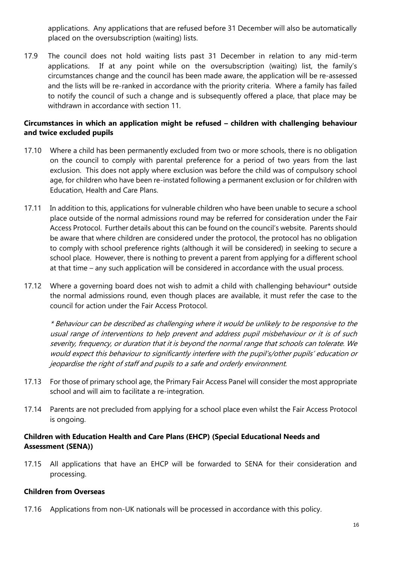applications. Any applications that are refused before 31 December will also be automatically placed on the oversubscription (waiting) lists.

17.9 The council does not hold waiting lists past 31 December in relation to any mid-term applications. If at any point while on the oversubscription (waiting) list, the family's circumstances change and the council has been made aware, the application will be re-assessed and the lists will be re-ranked in accordance with the priority criteria. Where a family has failed to notify the council of such a change and is subsequently offered a place, that place may be withdrawn in accordance with section 11.

#### **Circumstances in which an application might be refused – children with challenging behaviour and twice excluded pupils**

- 17.10 Where a child has been permanently excluded from two or more schools, there is no obligation on the council to comply with parental preference for a period of two years from the last exclusion. This does not apply where exclusion was before the child was of compulsory school age, for children who have been re-instated following a permanent exclusion or for children with Education, Health and Care Plans.
- 17.11 In addition to this, applications for vulnerable children who have been unable to secure a school place outside of the normal admissions round may be referred for consideration under the Fair Access Protocol. Further details about this can be found on the council's website. Parents should be aware that where children are considered under the protocol, the protocol has no obligation to comply with school preference rights (although it will be considered) in seeking to secure a school place. However, there is nothing to prevent a parent from applying for a different school at that time – any such application will be considered in accordance with the usual process.
- 17.12 Where a governing board does not wish to admit a child with challenging behaviour\* outside the normal admissions round, even though places are available, it must refer the case to the council for action under the Fair Access Protocol.

\* Behaviour can be described as challenging where it would be unlikely to be responsive to the usual range of interventions to help prevent and address pupil misbehaviour or it is of such severity, frequency, or duration that it is beyond the normal range that schools can tolerate. We would expect this behaviour to significantly interfere with the pupil's/other pupils' education or jeopardise the right of staff and pupils to a safe and orderly environment.

- 17.13 For those of primary school age, the Primary Fair Access Panel will consider the most appropriate school and will aim to facilitate a re-integration.
- 17.14 Parents are not precluded from applying for a school place even whilst the Fair Access Protocol is ongoing.

#### **Children with Education Health and Care Plans (EHCP) (Special Educational Needs and Assessment (SENA))**

17.15 All applications that have an EHCP will be forwarded to SENA for their consideration and processing.

#### **Children from Overseas**

17.16 Applications from non-UK nationals will be processed in accordance with this policy.